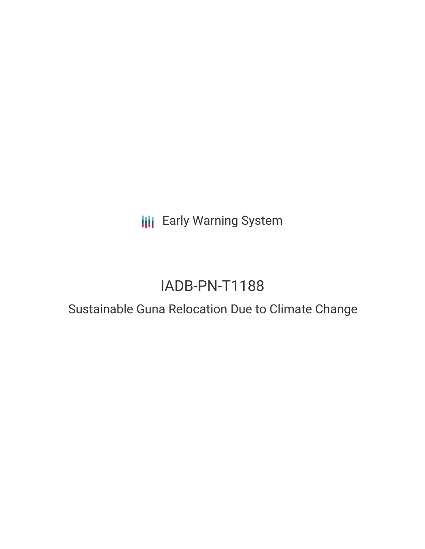**III** Early Warning System

# IADB-PN-T1188

## Sustainable Guna Relocation Due to Climate Change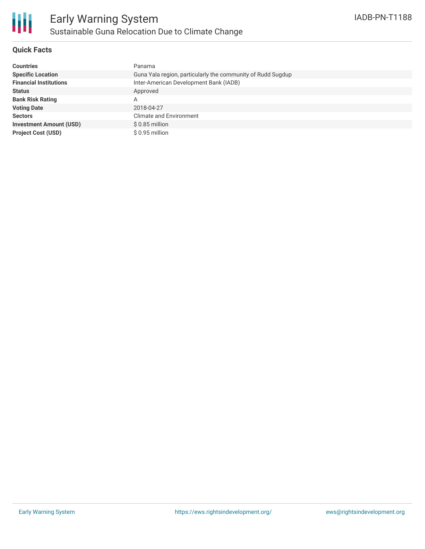

### **Quick Facts**

| <b>Countries</b>               | Panama                                                      |
|--------------------------------|-------------------------------------------------------------|
| <b>Specific Location</b>       | Guna Yala region, particularly the community of Rudd Sugdup |
| <b>Financial Institutions</b>  | Inter-American Development Bank (IADB)                      |
| <b>Status</b>                  | Approved                                                    |
| <b>Bank Risk Rating</b>        | Α                                                           |
| <b>Voting Date</b>             | 2018-04-27                                                  |
| <b>Sectors</b>                 | Climate and Environment                                     |
| <b>Investment Amount (USD)</b> | $$0.85$ million                                             |
| <b>Project Cost (USD)</b>      | \$0.95 million                                              |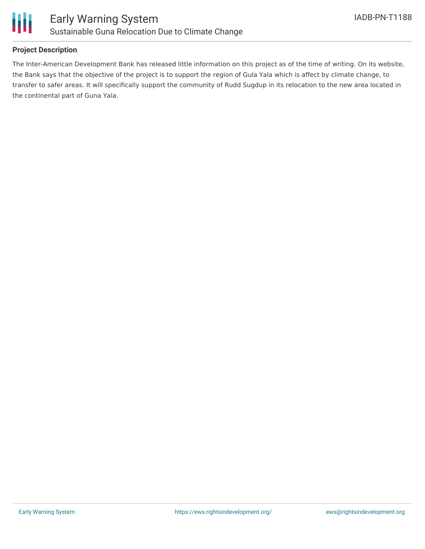

### **Project Description**

The Inter-American Development Bank has released little information on this project as of the time of writing. On its website, the Bank says that the objective of the project is to support the region of Gula Yala which is affect by climate change, to transfer to safer areas. It will specifically support the community of Rudd Sugdup in its relocation to the new area located in the continental part of Guna Yala.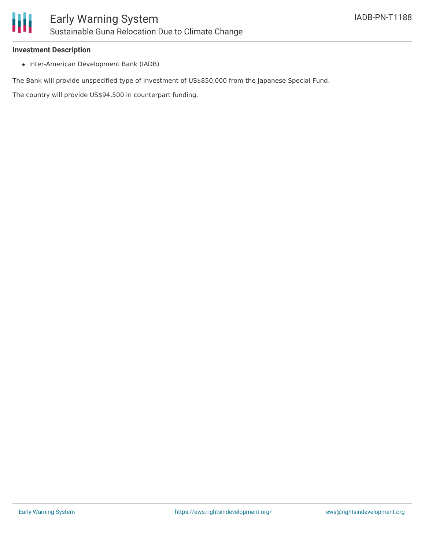#### **Investment Description**

• Inter-American Development Bank (IADB)

The Bank will provide unspecified type of investment of US\$850,000 from the Japanese Special Fund.

The country will provide US\$94,500 in counterpart funding.